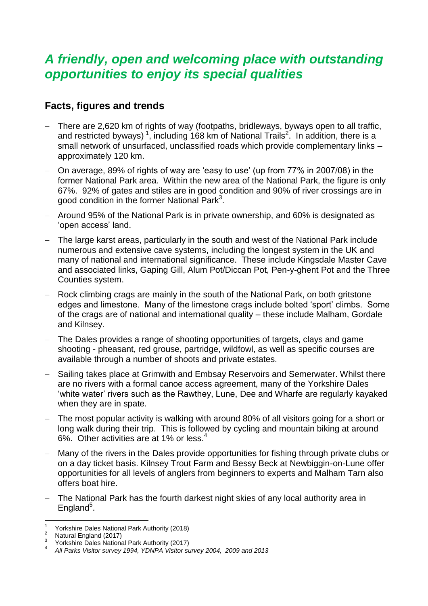# *A friendly, open and welcoming place with outstanding opportunities to enjoy its special qualities*

## **Facts, figures and trends**

- There are 2,620 km of rights of way (footpaths, bridleways, byways open to all traffic, and restricted byways)<sup>1</sup>, including 168 km of National Trails<sup>2</sup>. In addition, there is a small network of unsurfaced, unclassified roads which provide complementary links – approximately 120 km.
- On average, 89% of rights of way are 'easy to use' (up from 77% in 2007/08) in the former National Park area. Within the new area of the National Park, the figure is only 67%. 92% of gates and stiles are in good condition and 90% of river crossings are in good condition in the former National Park<sup>3</sup>.
- Around 95% of the National Park is in private ownership, and 60% is designated as 'open access' land.
- The large karst areas, particularly in the south and west of the National Park include numerous and extensive cave systems, including the longest system in the UK and many of national and international significance. These include Kingsdale Master Cave and associated links, Gaping Gill, Alum Pot/Diccan Pot, Pen-y-ghent Pot and the Three Counties system.
- Rock climbing crags are mainly in the south of the National Park, on both gritstone edges and limestone. Many of the limestone crags include bolted 'sport' climbs. Some of the crags are of national and international quality – these include Malham, Gordale and Kilnsey.
- The Dales provides a range of shooting opportunities of targets, clays and game shooting - pheasant, red grouse, partridge, wildfowl, as well as specific courses are available through a number of shoots and private estates.
- Sailing takes place at Grimwith and Embsay Reservoirs and Semerwater. Whilst there are no rivers with a formal canoe access agreement, many of the Yorkshire Dales 'white water' rivers such as the Rawthey, Lune, Dee and Wharfe are regularly kayaked when they are in spate.
- The most popular activity is walking with around 80% of all visitors going for a short or long walk during their trip. This is followed by cycling and mountain biking at around 6%. Other activities are at 1% or less.<sup>4</sup>
- Many of the rivers in the Dales provide opportunities for fishing through private clubs or on a day ticket basis. Kilnsey Trout Farm and Bessy Beck at Newbiggin-on-Lune offer opportunities for all levels of anglers from beginners to experts and Malham Tarn also offers boat hire.
- The National Park has the fourth darkest night skies of any local authority area in England<sup>5</sup>.

l 1 Yorkshire Dales National Park Authority (2018)

<sup>&</sup>lt;sup>2</sup> Natural England (2017)

<sup>3</sup> Yorkshire Dales National Park Authority (2017)

<sup>4</sup> *All Parks Visitor survey 1994, YDNPA Visitor survey 2004, 2009 and 2013*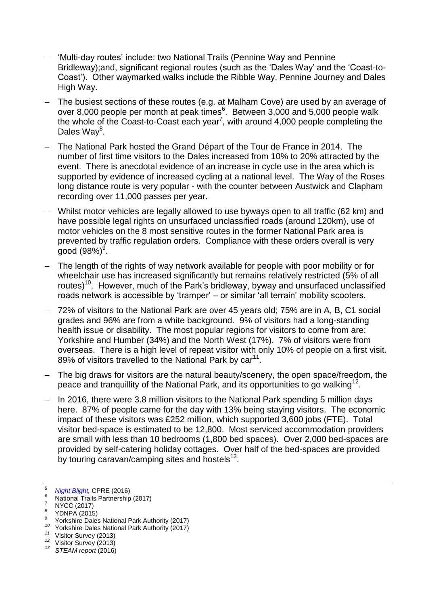- 'Multi-day routes' include: two National Trails (Pennine Way and Pennine Bridleway);and, significant regional routes (such as the 'Dales Way' and the 'Coast-to-Coast'). Other waymarked walks include the Ribble Way, Pennine Journey and Dales High Way.
- The busiest sections of these routes (e.g. at Malham Cove) are used by an average of over 8,000 people per month at peak times $6$ . Between 3,000 and 5,000 people walk the whole of the Coast-to-Coast each year<sup>7</sup>, with around 4,000 people completing the Dales Way<sup>8</sup>.
- The National Park hosted the Grand Départ of the Tour de France in 2014. The number of first time visitors to the Dales increased from 10% to 20% attracted by the event. There is anecdotal evidence of an increase in cycle use in the area which is supported by evidence of increased cycling at a national level. The Way of the Roses long distance route is very popular - with the counter between Austwick and Clapham recording over 11,000 passes per year.
- Whilst motor vehicles are legally allowed to use byways open to all traffic (62 km) and have possible legal rights on unsurfaced unclassified roads (around 120km), use of motor vehicles on the 8 most sensitive routes in the former National Park area is prevented by traffic regulation orders. Compliance with these orders overall is very good (98%) $^9$ .
- The length of the rights of way network available for people with poor mobility or for wheelchair use has increased significantly but remains relatively restricted (5% of all routes)<sup>10</sup>. However, much of the Park's bridleway, byway and unsurfaced unclassified roads network is accessible by 'tramper' – or similar 'all terrain' mobility scooters.
- 72% of visitors to the National Park are over 45 years old; 75% are in A, B, C1 social grades and 96% are from a white background. 9% of visitors had a long-standing health issue or disability. The most popular regions for visitors to come from are: Yorkshire and Humber (34%) and the North West (17%). 7% of visitors were from overseas. There is a high level of repeat visitor with only 10% of people on a first visit. 89% of visitors travelled to the National Park by  $car<sup>11</sup>$ .
- The big draws for visitors are the natural beauty/scenery, the open space/freedom, the peace and tranquillity of the National Park, and its opportunities to go walking<sup>12</sup>.
- In 2016, there were 3.8 million visitors to the National Park spending 5 million davs here. 87% of people came for the day with 13% being staying visitors. The economic impact of these visitors was £252 million, which supported 3,600 jobs (FTE). Total visitor bed-space is estimated to be 12,800. Most serviced accommodation providers are small with less than 10 bedrooms (1,800 bed spaces). Over 2,000 bed-spaces are provided by self-catering holiday cottages. Over half of the bed-spaces are provided by touring caravan/camping sites and hostels<sup>13</sup>.

- 
- 9 Yorkshire Dales National Park Authority (2017)
- *<sup>10</sup>* Yorkshire Dales National Park Authority (2017)
- *<sup>11</sup>* Visitor Survey (2013)
- <sup>12</sup> Visitor Survey (2013)
- *<sup>13</sup> STEAM report* (2016)

 $\overline{5}$ <sup>5</sup> *[Night Blight,](http://nightblight.cpre.org.uk/images/resources/Night_Blight_cpre.pdf)* CPRE (2016)

<sup>6</sup> National Trails Partnership (2017)

<sup>&</sup>lt;sup>7</sup> NYCC (2017)<br><sup>8</sup> YDNPA (2015)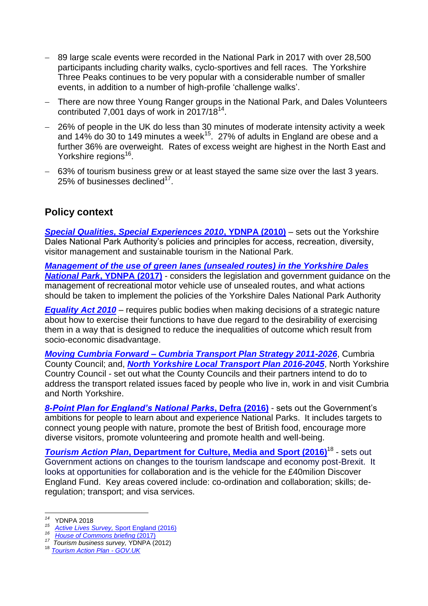- 89 large scale events were recorded in the National Park in 2017 with over 28,500 participants including charity walks, cyclo-sportives and fell races. The Yorkshire Three Peaks continues to be very popular with a considerable number of smaller events, in addition to a number of high-profile 'challenge walks'.
- There are now three Young Ranger groups in the National Park, and Dales Volunteers contributed 7,001 days of work in 2017/18 $^{14}$ .
- 26% of people in the UK do less than 30 minutes of moderate intensity activity a week and 14% do 30 to 149 minutes a week $^{15}$ . 27% of adults in England are obese and a further 36% are overweight. Rates of excess weight are highest in the North East and Yorkshire regions<sup>16</sup>.
- 63% of tourism business grew or at least stayed the same size over the last 3 years. 25% of businesses declined $17$ .

## **Policy context**

*[Special Qualities, Special Experiences 2010](http://www.yorkshiredales.org.uk/__data/assets/pdf_file/0011/473438/ydnpa-special-qualities-special-experiences.pdf)***, YDNPA (2010)** – sets out the Yorkshire Dales National Park Authority's policies and principles for access, recreation, diversity, visitor management and sustainable tourism in the National Park.

*[Management of the use of green lanes \(unsealed routes\) in the Yorkshire Dales](https://yorkshiredales.npuk-wp.uk/wp-content/uploads/sites/13/2019/08/Green-Lanes-Framework-2017-FINAL.pdf)  National Park***[, YDNPA \(2017\)](https://yorkshiredales.npuk-wp.uk/wp-content/uploads/sites/13/2019/08/Green-Lanes-Framework-2017-FINAL.pdf)** - considers the legislation and government guidance on the management of recreational motor vehicle use of unsealed routes, and what actions should be taken to implement the policies of the Yorkshire Dales National Park Authority

*[Equality Act 2010](https://www.gov.uk/guidance/equality-act-2010-guidance)* – requires public bodies when making decisions of a strategic nature about how to exercise their functions to have due regard to the desirability of exercising them in a way that is designed to reduce the inequalities of outcome which result from socio-economic disadvantage.

*Moving Cumbria Forward – [Cumbria Transport Plan Strategy 2011-2026](http://www.cumbria.gov.uk/epagewiz/uploaded/movingcumbriaforward/)*, Cumbria County Council; and, *[North Yorkshire Local Transport Plan 2016-204](http://www.northyorks.gov.uk/index.aspx?articleid=10446)5*, North Yorkshire Country Council - set out what the County Councils and their partners intend to do to address the transport related issues faced by people who live in, work in and visit Cumbria and North Yorkshire.

*[8-Point Plan for England's National Parks](https://www.gov.uk/government/uploads/system/uploads/attachment_data/file/509916/national-parks-8-point-plan-for-england-2016-to-2020.pdf)***, Defra (2016)** - sets out the Government's ambitions for people to learn about and experience National Parks. It includes targets to connect young people with nature, promote the best of British food, encourage more diverse visitors, promote volunteering and promote health and well-being.

**Tourism Action Plan[, Department for Culture, Media and Sport \(2016\)](https://assets.publishing.service.gov.uk/government/uploads/system/uploads/attachment_data/file/555039/Tourism_Action_Plan.pdf)<sup>18</sup> - sets out** Government actions on changes to the tourism landscape and economy post-Brexit. It looks at opportunities for collaboration and is the vehicle for the £40milion Discover England Fund. Key areas covered include: co-ordination and collaboration; skills; deregulation; transport; and visa services.

 *<sup>14</sup>* YDNPA 2018

<sup>&</sup>lt;sup>15</sup> [Active Lives Survey,](https://www.sportengland.org/media/11498/active-lives-survey-yr-1-report.pdf) Sport England (2016)

<sup>&</sup>lt;sup>16</sup> [House of Commons briefing](http://researchbriefings.files.parliament.uk/documents/SN03336/SN03336.pdf) (2017)

*<sup>17</sup> Tourism business survey,* YDNPA (2012)

<sup>18</sup> *[Tourism Action Plan -](https://assets.publishing.service.gov.uk/government/uploads/system/uploads/attachment_data/file/555039/Tourism_Action_Plan.pdf) GOV.UK*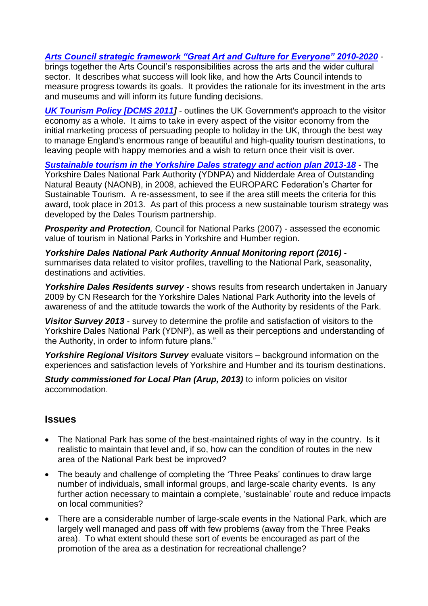### *[Arts Council strategic framework "Great Art and Culture for Everyone" 2010-2020](https://www.artscouncil.org.uk/sites/default/files/download-file/Great_art_and_culture_for_everyone.pdf)* -

brings together the Arts Council's responsibilities across the arts and the wider cultural sector. It describes what success will look like, and how the Arts Council intends to measure progress towards its goals. It provides the rationale for its investment in the arts and museums and will inform its future funding decisions.

**[UK Tourism Policy \[DCMS 2011\]](https://assets.publishing.service.gov.uk/government/uploads/system/uploads/attachment_data/file/78416/Government2_Tourism_Policy_2011.pdf)** - outlines the UK Government's approach to the visitor economy as a whole. It aims to take in every aspect of the visitor economy from the initial marketing process of persuading people to holiday in the UK, through the best way to manage England's enormous range of beautiful and high-quality tourism destinations, to leaving people with happy memories and a wish to return once their visit is over.

*[Sustainable tourism in the Yorkshire Dales strategy and action plan 2013-18](https://yorkshiredales.npuk-wp.uk/wp-content/uploads/sites/13/2019/08/tourism-strategy-action-plan-april-2013.pdf)* - The Yorkshire Dales National Park Authority (YDNPA) and Nidderdale Area of Outstanding Natural Beauty (NAONB), in 2008, achieved the EUROPARC Federation's Charter for Sustainable Tourism. A re-assessment, to see if the area still meets the criteria for this award, took place in 2013. As part of this process a new sustainable tourism strategy was developed by the Dales Tourism partnership.

**Prosperity and Protection**, Council for National Parks (2007) - assessed the economic value of tourism in National Parks in Yorkshire and Humber region.

*Yorkshire Dales National Park Authority Annual Monitoring report (2016)* summarises data related to visitor profiles, travelling to the National Park, seasonality, destinations and activities.

*Yorkshire Dales Residents survey* - shows results from research undertaken in January 2009 by CN Research for the Yorkshire Dales National Park Authority into the levels of awareness of and the attitude towards the work of the Authority by residents of the Park.

*Visitor Survey 2013* - survey to determine the profile and satisfaction of visitors to the Yorkshire Dales National Park (YDNP), as well as their perceptions and understanding of the Authority, in order to inform future plans."

*Yorkshire Regional Visitors Survey* evaluate visitors – background information on the experiences and satisfaction levels of Yorkshire and Humber and its tourism destinations.

*Study commissioned for Local Plan (Arup, 2013)* to inform policies on visitor accommodation.

#### **Issues**

- The National Park has some of the best-maintained rights of way in the country. Is it realistic to maintain that level and, if so, how can the condition of routes in the new area of the National Park best be improved?
- The beauty and challenge of completing the 'Three Peaks' continues to draw large number of individuals, small informal groups, and large-scale charity events. Is any further action necessary to maintain a complete, 'sustainable' route and reduce impacts on local communities?
- There are a considerable number of large-scale events in the National Park, which are largely well managed and pass off with few problems (away from the Three Peaks area). To what extent should these sort of events be encouraged as part of the promotion of the area as a destination for recreational challenge?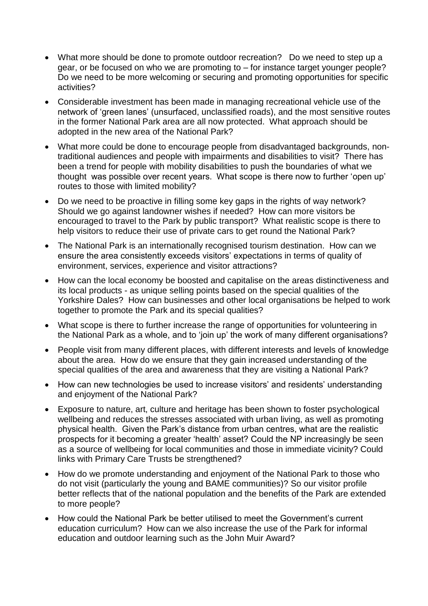- What more should be done to promote outdoor recreation? Do we need to step up a gear, or be focused on who we are promoting to – for instance target younger people? Do we need to be more welcoming or securing and promoting opportunities for specific activities?
- Considerable investment has been made in managing recreational vehicle use of the network of 'green lanes' (unsurfaced, unclassified roads), and the most sensitive routes in the former National Park area are all now protected. What approach should be adopted in the new area of the National Park?
- What more could be done to encourage people from disadvantaged backgrounds, nontraditional audiences and people with impairments and disabilities to visit? There has been a trend for people with mobility disabilities to push the boundaries of what we thought was possible over recent years. What scope is there now to further 'open up' routes to those with limited mobility?
- Do we need to be proactive in filling some key gaps in the rights of way network? Should we go against landowner wishes if needed? How can more visitors be encouraged to travel to the Park by public transport? What realistic scope is there to help visitors to reduce their use of private cars to get round the National Park?
- The National Park is an internationally recognised tourism destination. How can we ensure the area consistently exceeds visitors' expectations in terms of quality of environment, services, experience and visitor attractions?
- How can the local economy be boosted and capitalise on the areas distinctiveness and its local products - as unique selling points based on the special qualities of the Yorkshire Dales? How can businesses and other local organisations be helped to work together to promote the Park and its special qualities?
- What scope is there to further increase the range of opportunities for volunteering in the National Park as a whole, and to 'join up' the work of many different organisations?
- People visit from many different places, with different interests and levels of knowledge about the area. How do we ensure that they gain increased understanding of the special qualities of the area and awareness that they are visiting a National Park?
- How can new technologies be used to increase visitors' and residents' understanding and enjoyment of the National Park?
- Exposure to nature, art, culture and heritage has been shown to foster psychological wellbeing and reduces the stresses associated with urban living, as well as promoting physical health. Given the Park's distance from urban centres, what are the realistic prospects for it becoming a greater 'health' asset? Could the NP increasingly be seen as a source of wellbeing for local communities and those in immediate vicinity? Could links with Primary Care Trusts be strengthened?
- How do we promote understanding and enjoyment of the National Park to those who do not visit (particularly the young and BAME communities)? So our visitor profile better reflects that of the national population and the benefits of the Park are extended to more people?
- How could the National Park be better utilised to meet the Government's current education curriculum? How can we also increase the use of the Park for informal education and outdoor learning such as the John Muir Award?